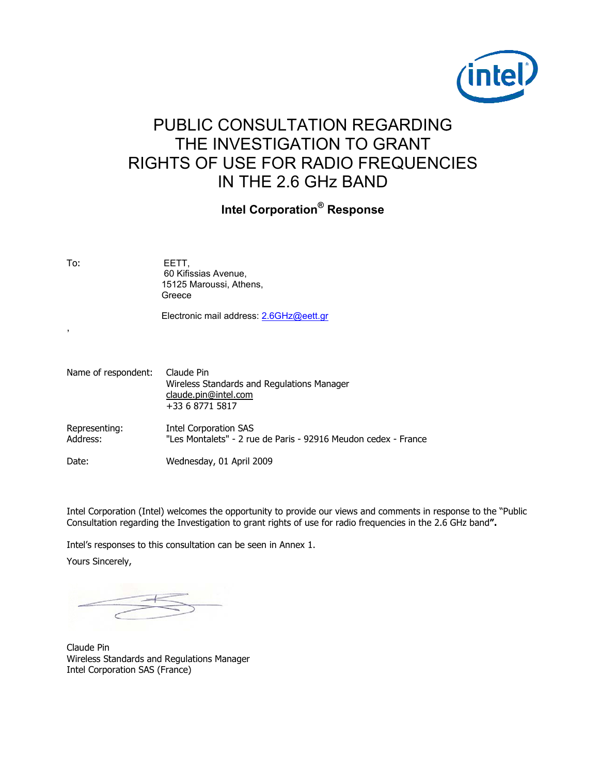

# PUBLIC CONSULTATION REGARDING THE INVESTIGATION TO GRANT **RIGHTS OF USE FOR RADIO FREQUENCIES** IN THE 2.6 GHZ BAND

# **Intel Corporation® Response**

To:

EETT, 60 Kifissias Avenue, 15125 Maroussi, Athens, Greece

Electronic mail address: 2.6GHz@eett.gr

| Name of respondent:       | Claude Pin<br>Wireless Standards and Regulations Manager<br>claude.pin@intel.com<br>+33 6 8771 5817 |
|---------------------------|-----------------------------------------------------------------------------------------------------|
| Representing:<br>Address: | Intel Corporation SAS<br>"Les Montalets" - 2 rue de Paris - 92916 Meudon cedex - France             |
| Date:                     | Wednesday, 01 April 2009                                                                            |

Intel Corporation (Intel) welcomes the opportunity to provide our views and comments in response to the "Public Consultation regarding the Investigation to grant rights of use for radio frequencies in the 2.6 GHz band".

Intel's responses to this consultation can be seen in Annex 1.

Yours Sincerely,

Claude Pin Wireless Standards and Regulations Manager Intel Corporation SAS (France)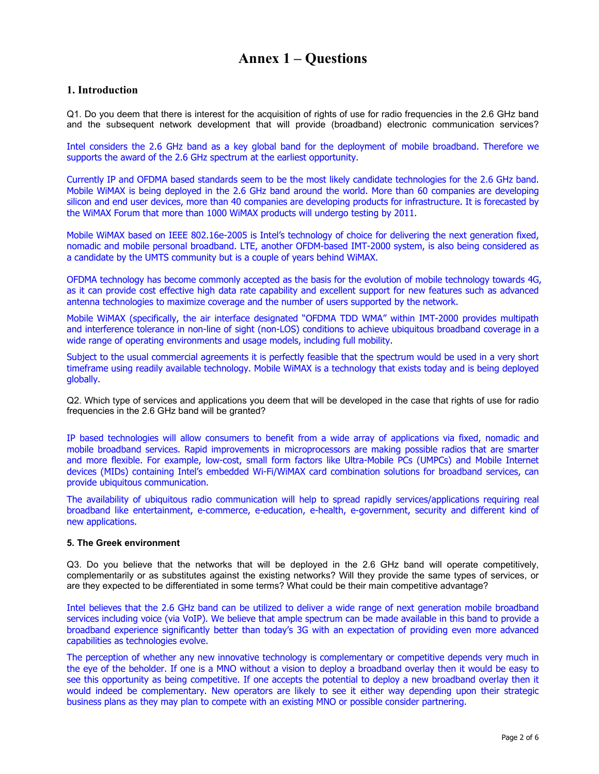# **Annex 1 – Questions**

## **1. Introduction**

Q1. Do you deem that there is interest for the acquisition of rights of use for radio frequencies in the 2.6 GHz band and the subsequent network development that will provide (broadband) electronic communication services?

Intel considers the 2.6 GHz band as a key global band for the deployment of mobile broadband. Therefore we supports the award of the 2.6 GHz spectrum at the earliest opportunity.

Currently IP and OFDMA based standards seem to be the most likely candidate technologies for the 2.6 GHz band. Mobile WiMAX is being deployed in the 2.6 GHz band around the world. More than 60 companies are developing silicon and end user devices, more than 40 companies are developing products for infrastructure. It is forecasted by the WiMAX Forum that more than 1000 WiMAX products will undergo testing by 2011.

Mobile WiMAX based on IEEE 802.16e-2005 is Intel's technology of choice for delivering the next generation fixed, nomadic and mobile personal broadband. LTE, another OFDM-based IMT-2000 system, is also being considered as a candidate by the UMTS community but is a couple of years behind WiMAX.

OFDMA technology has become commonly accepted as the basis for the evolution of mobile technology towards 4G, as it can provide cost effective high data rate capability and excellent support for new features such as advanced antenna technologies to maximize coverage and the number of users supported by the network.

Mobile WiMAX (specifically, the air interface designated "OFDMA TDD WMA" within IMT-2000 provides multipath and interference tolerance in non-line of sight (non-LOS) conditions to achieve ubiquitous broadband coverage in a wide range of operating environments and usage models, including full mobility.

Subject to the usual commercial agreements it is perfectly feasible that the spectrum would be used in a very short timeframe using readily available technology. Mobile WiMAX is a technology that exists today and is being deployed globally.

Q2. Which type of services and applications you deem that will be developed in the case that rights of use for radio frequencies in the 2.6 GHz band will be granted?

IP based technologies will allow consumers to benefit from a wide array of applications via fixed, nomadic and mobile broadband services. Rapid improvements in microprocessors are making possible radios that are smarter and more flexible. For example, low-cost, small form factors like Ultra-Mobile PCs (UMPCs) and Mobile Internet devices (MIDs) containing Intel's embedded Wi-Fi/WiMAX card combination solutions for broadband services, can provide ubiquitous communication.

The availability of ubiquitous radio communication will help to spread rapidly services/applications requiring real broadband like entertainment, e-commerce, e-education, e-health, e-government, security and different kind of new applications.

### **5. The Greek environment**

Q3. Do you believe that the networks that will be deployed in the 2.6 GHz band will operate competitively, complementarily or as substitutes against the existing networks? Will they provide the same types of services, or are they expected to be differentiated in some terms? What could be their main competitive advantage?

Intel believes that the 2.6 GHz band can be utilized to deliver a wide range of next generation mobile broadband services including voice (via VoIP). We believe that ample spectrum can be made available in this band to provide a broadband experience significantly better than today's 3G with an expectation of providing even more advanced capabilities as technologies evolve.

The perception of whether any new innovative technology is complementary or competitive depends very much in the eye of the beholder. If one is a MNO without a vision to deploy a broadband overlay then it would be easy to see this opportunity as being competitive. If one accepts the potential to deploy a new broadband overlay then it would indeed be complementary. New operators are likely to see it either way depending upon their strategic business plans as they may plan to compete with an existing MNO or possible consider partnering.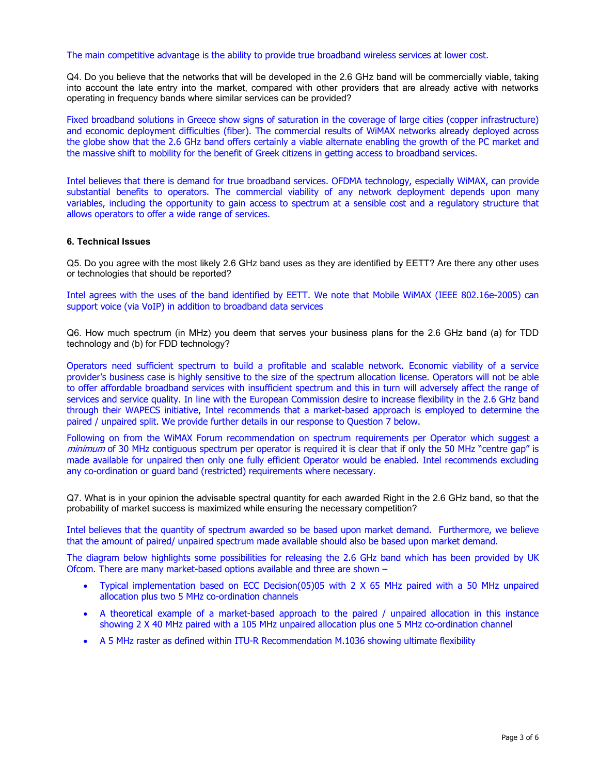The main competitive advantage is the ability to provide true broadband wireless services at lower cost.

Q4. Do you believe that the networks that will be developed in the 2.6 GHz band will be commercially viable, taking into account the late entry into the market, compared with other providers that are already active with networks operating in frequency bands where similar services can be provided?

Fixed broadband solutions in Greece show signs of saturation in the coverage of large cities (copper infrastructure) and economic deployment difficulties (fiber). The commercial results of WiMAX networks already deployed across the globe show that the 2.6 GHz band offers certainly a viable alternate enabling the growth of the PC market and the massive shift to mobility for the benefit of Greek citizens in getting access to broadband services.

Intel believes that there is demand for true broadband services. OFDMA technology, especially WiMAX, can provide substantial benefits to operators. The commercial viability of any network deployment depends upon many variables, including the opportunity to gain access to spectrum at a sensible cost and a regulatory structure that allows operators to offer a wide range of services.

### **6. Technical Issues**

Q5. Do you agree with the most likely 2.6 GHz band uses as they are identified by EETT? Are there any other uses or technologies that should be reported?

Intel agrees with the uses of the band identified by EETT. We note that Mobile WiMAX (IEEE 802.16e-2005) can support voice (via VoIP) in addition to broadband data services

Q6. How much spectrum (in MHz) you deem that serves your business plans for the 2.6 GHz band (a) for TDD technology and (b) for FDD technology?

Operators need sufficient spectrum to build a profitable and scalable network. Economic viability of a service provider's business case is highly sensitive to the size of the spectrum allocation license. Operators will not be able to offer affordable broadband services with insufficient spectrum and this in turn will adversely affect the range of services and service quality. In line with the European Commission desire to increase flexibility in the 2.6 GHz band through their WAPECS initiative, Intel recommends that a market-based approach is employed to determine the paired / unpaired split. We provide further details in our response to Question 7 below.

Following on from the WiMAX Forum recommendation on spectrum requirements per Operator which suggest a minimum of 30 MHz contiguous spectrum per operator is required it is clear that if only the 50 MHz "centre gap" is made available for unpaired then only one fully efficient Operator would be enabled. Intel recommends excluding any co-ordination or guard band (restricted) requirements where necessary.

Q7. What is in your opinion the advisable spectral quantity for each awarded Right in the 2.6 GHz band, so that the probability of market success is maximized while ensuring the necessary competition?

Intel believes that the quantity of spectrum awarded so be based upon market demand. Furthermore, we believe that the amount of paired/ unpaired spectrum made available should also be based upon market demand.

The diagram below highlights some possibilities for releasing the 2.6 GHz band which has been provided by UK Ofcom. There are many market-based options available and three are shown –

- Typical implementation based on ECC Decision(05)05 with 2 X 65 MHz paired with a 50 MHz unpaired allocation plus two 5 MHz co-ordination channels
- A theoretical example of a market-based approach to the paired / unpaired allocation in this instance showing 2 X 40 MHz paired with a 105 MHz unpaired allocation plus one 5 MHz co-ordination channel
- A 5 MHz raster as defined within ITU-R Recommendation M.1036 showing ultimate flexibility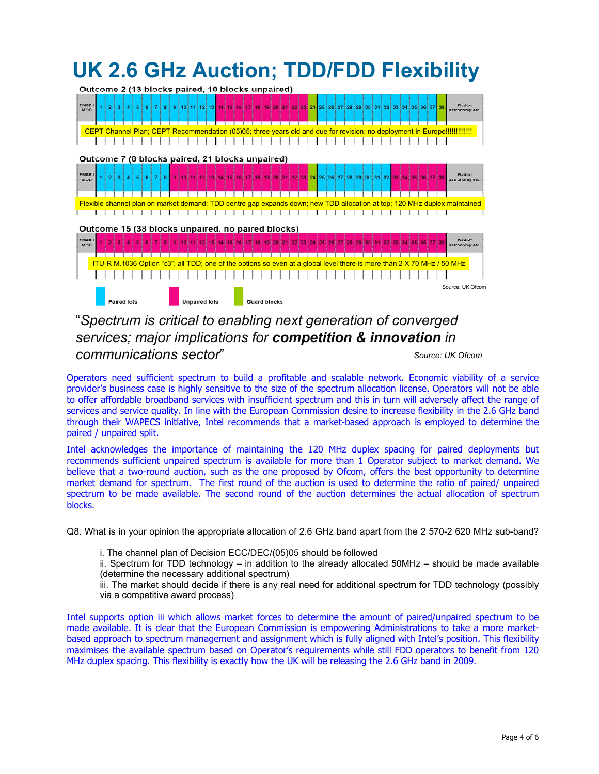#### **UK 2.6 GHz Auction; TDD/FDD Flexibility** Outcome 2 (13 blocks paired, 10 blocks unpaired) 9 10 11 12 13 MSE  $\overline{2}$ 26 26 27 28 29 30 <u> Andrew Maria a San A</u> CEPT Channel Plan; CEPT Recommendation (05)05; three years old and due for revision; no deployment in Europe!!!!!!!!!!!!!! Outcome 7 (8 blocks paired, 21 blocks unpaired) 10 11 12 13 14 15 16 17 18 19 20 21 22 PMSE<br>MOD 23 24 المتحدث والمتحال المتحالة المتحالة المتحالة والمتحدث والمتحدث والمتحالة والمتحدث والتناقل المتحالة المتحالة Flexible channel plan on market demand; TDD centre gap expands down; new TDD allocation at top; 120 MHz duplex maintained Outcome 15 (38 blocks unpaired, no paired blocks) PMSE/ 1 2 3 4 5 6 7 9 9 0 11 2 3 4 5 6 7 9 0 12 3 4 5 6 7 8 9 0 12 30 21 22 23 24 25 26 27 28 29 30 31 32 33 34 35 36 in der der en der en der en der en der en der en der en der en der en der en der en der en der en der en der e<br>Der en der en der en der en der en der en der en der en der en der en der en der en der en der en der en der e ITU-R M.1036 Option "c3"; all TDD; one of the options so even at a global level there is more than 2 X 70 MHz / 50 MHzSource: UK Ofcom **Unnaired Inter** aired lete **Guard blocks**

# "*Spectrum is critical to enabling next generation of converged services; major implications for competition & innovation in communications sector*"

*Source: UK Ofcom*

Operators need sufficient spectrum to build a profitable and scalable network. Economic viability of a service provider's business case is highly sensitive to the size of the spectrum allocation license. Operators will not be able to offer affordable broadband services with insufficient spectrum and this in turn will adversely affect the range of services and service quality. In line with the European Commission desire to increase flexibility in the 2.6 GHz band through their WAPECS initiative, Intel recommends that a market-based approach is employed to determine the paired / unpaired split.

Intel acknowledges the importance of maintaining the 120 MHz duplex spacing for paired deployments but recommends sufficient unpaired spectrum is available for more than 1 Operator subject to market demand. We believe that a two-round auction, such as the one proposed by Ofcom, offers the best opportunity to determine market demand for spectrum. The first round of the auction is used to determine the ratio of paired/ unpaired spectrum to be made available. The second round of the auction determines the actual allocation of spectrum blocks.

Q8. What is in your opinion the appropriate allocation of 2.6 GHz band apart from the 2 570-2 620 MHz sub-band?

i. The channel plan of Decision ECC/DEC/(05)05 should be followed

ii. Spectrum for TDD technology – in addition to the already allocated 50MHz – should be made available (determine the necessary additional spectrum)

iii. The market should decide if there is any real need for additional spectrum for TDD technology (possibly via a competitive award process)

Intel supports option iii which allows market forces to determine the amount of paired/unpaired spectrum to be made available. It is clear that the European Commission is empowering Administrations to take a more marketbased approach to spectrum management and assignment which is fully aligned with Intel's position. This flexibility maximises the available spectrum based on Operator's requirements while still FDD operators to benefit from 120 MHz duplex spacing. This flexibility is exactly how the UK will be releasing the 2.6 GHz band in 2009.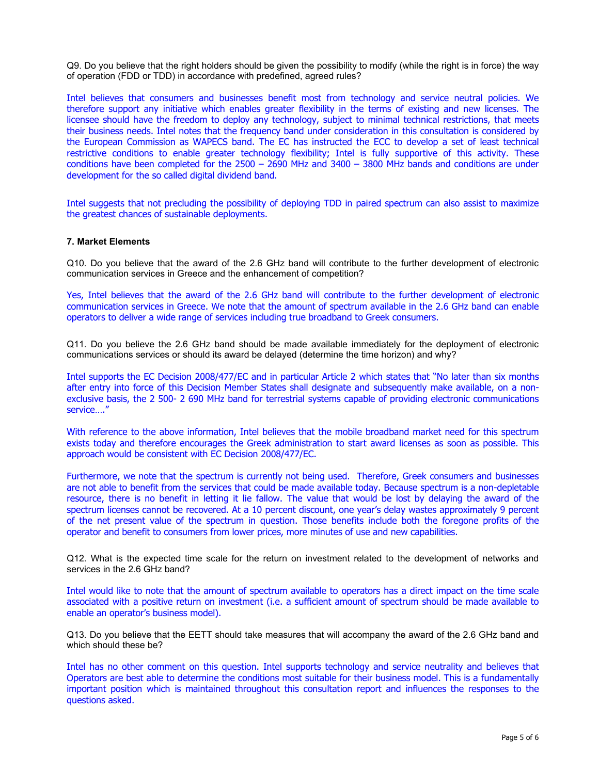Q9. Do you believe that the right holders should be given the possibility to modify (while the right is in force) the way of operation (FDD or TDD) in accordance with predefined, agreed rules?

Intel believes that consumers and businesses benefit most from technology and service neutral policies. We therefore support any initiative which enables greater flexibility in the terms of existing and new licenses. The licensee should have the freedom to deploy any technology, subject to minimal technical restrictions, that meets their business needs. Intel notes that the frequency band under consideration in this consultation is considered by the European Commission as WAPECS band. The EC has instructed the ECC to develop a set of least technical restrictive conditions to enable greater technology flexibility; Intel is fully supportive of this activity. These conditions have been completed for the 2500 – 2690 MHz and 3400 – 3800 MHz bands and conditions are under development for the so called digital dividend band.

Intel suggests that not precluding the possibility of deploying TDD in paired spectrum can also assist to maximize the greatest chances of sustainable deployments.

#### **7. Market Elements**

Q10. Do you believe that the award of the 2.6 GHz band will contribute to the further development of electronic communication services in Greece and the enhancement of competition?

Yes, Intel believes that the award of the 2.6 GHz band will contribute to the further development of electronic communication services in Greece. We note that the amount of spectrum available in the 2.6 GHz band can enable operators to deliver a wide range of services including true broadband to Greek consumers.

Q11. Do you believe the 2.6 GHz band should be made available immediately for the deployment of electronic communications services or should its award be delayed (determine the time horizon) and why?

Intel supports the EC Decision 2008/477/EC and in particular Article 2 which states that "No later than six months after entry into force of this Decision Member States shall designate and subsequently make available, on a nonexclusive basis, the 2 500- 2 690 MHz band for terrestrial systems capable of providing electronic communications service…."

With reference to the above information, Intel believes that the mobile broadband market need for this spectrum exists today and therefore encourages the Greek administration to start award licenses as soon as possible. This approach would be consistent with EC Decision 2008/477/EC.

Furthermore, we note that the spectrum is currently not being used. Therefore, Greek consumers and businesses are not able to benefit from the services that could be made available today. Because spectrum is a non-depletable resource, there is no benefit in letting it lie fallow. The value that would be lost by delaying the award of the spectrum licenses cannot be recovered. At a 10 percent discount, one year's delay wastes approximately 9 percent of the net present value of the spectrum in question. Those benefits include both the foregone profits of the operator and benefit to consumers from lower prices, more minutes of use and new capabilities.

Q12. What is the expected time scale for the return on investment related to the development of networks and services in the 2.6 GHz band?

Intel would like to note that the amount of spectrum available to operators has a direct impact on the time scale associated with a positive return on investment (i.e. a sufficient amount of spectrum should be made available to enable an operator's business model).

Q13. Do you believe that the EETT should take measures that will accompany the award of the 2.6 GHz band and which should these be?

Intel has no other comment on this question. Intel supports technology and service neutrality and believes that Operators are best able to determine the conditions most suitable for their business model. This is a fundamentally important position which is maintained throughout this consultation report and influences the responses to the questions asked.